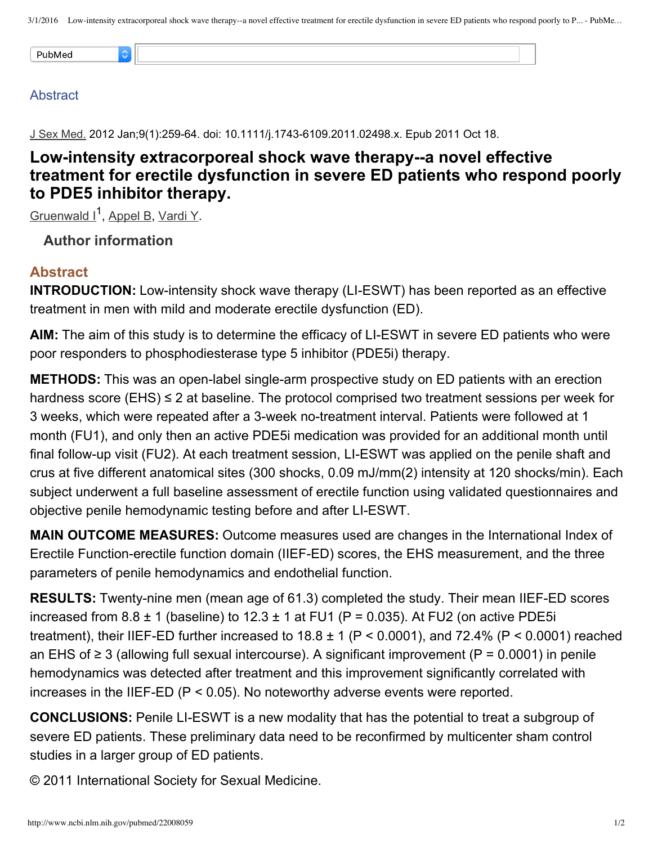### **Abstract**

J Sex Med. 2012 Jan;9(1):259-64. doi: 10.1111/j.1743-6109.2011.02498.x. Epub 2011 Oct 18.

## **Low-intensity extracorporeal shock wave therapy--a novel effective treatment for erectile dysfunction in severe ED patients who respond poorly to PDE5 inhibitor therapy.**

[Gruenwald](http://www.ncbi.nlm.nih.gov/pubmed/?term=Gruenwald%20I%5BAuthor%5D&cauthor=true&cauthor_uid=22008059) I<sup>1</sup>, [Appel](http://www.ncbi.nlm.nih.gov/pubmed/?term=Appel%20B%5BAuthor%5D&cauthor=true&cauthor_uid=22008059) B, [Vardi](http://www.ncbi.nlm.nih.gov/pubmed/?term=Vardi%20Y%5BAuthor%5D&cauthor=true&cauthor_uid=22008059) Y.

**Author information**

## **Abstract**

**INTRODUCTION:** Low-intensity shock wave therapy (LI-ESWT) has been reported as an effective treatment in men with mild and moderate erectile dysfunction (ED).

AIM: The aim of this study is to determine the efficacy of LI-ESWT in severe ED patients who were poor responders to phosphodiesterase type 5 inhibitor (PDE5i) therapy.

**METHODS:** This was an open-label single-arm prospective study on ED patients with an erection hardness score (EHS)  $\leq$  2 at baseline. The protocol comprised two treatment sessions per week for 3 weeks, which were repeated after a 3-week no-treatment interval. Patients were followed at 1 month (FU1), and only then an active PDE5i medication was provided for an additional month until final follow-up visit (FU2). At each treatment session, LI-ESWT was applied on the penile shaft and crus at five different anatomical sites (300 shocks, 0.09 mJ/mm(2) intensity at 120 shocks/min). Each subject underwent a full baseline assessment of erectile function using validated questionnaires and objective penile hemodynamic testing before and after LI-ESWT.

**MAIN OUTCOME MEASURES:** Outcome measures used are changes in the International Index of Erectile Function-erectile function domain (IIEF-ED) scores, the EHS measurement, and the three parameters of penile hemodynamics and endothelial function.

**RESULTS:** Twenty-nine men (mean age of 61.3) completed the study. Their mean IIEF-ED scores increased from  $8.8 \pm 1$  (baseline) to  $12.3 \pm 1$  at FU1 (P = 0.035). At FU2 (on active PDE5i treatment), their IIEF-ED further increased to  $18.8 \pm 1$  (P < 0.0001), and 72.4% (P < 0.0001) reached an EHS of  $\geq$  3 (allowing full sexual intercourse). A significant improvement (P = 0.0001) in penile hemodynamics was detected after treatment and this improvement significantly correlated with increases in the IIEF-ED ( $P < 0.05$ ). No noteworthy adverse events were reported.

**CONCLUSIONS:** Penile LI-ESWT is a new modality that has the potential to treat a subgroup of severe ED patients. These preliminary data need to be reconfirmed by multicenter sham control studies in a larger group of ED patients.

© 2011 International Society for Sexual Medicine.